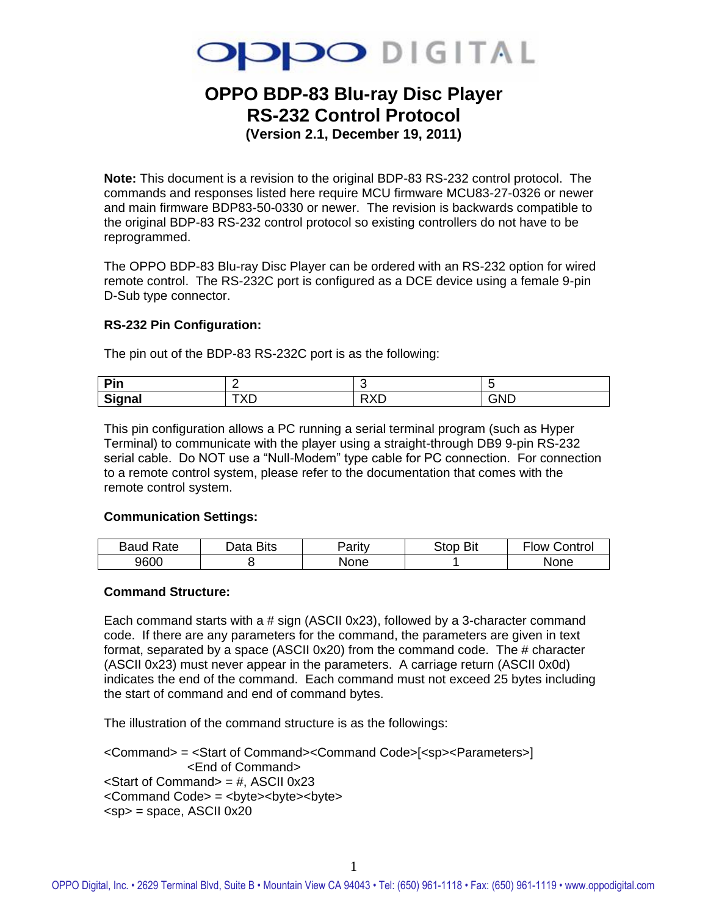

# **OPPO BDP-83 Blu-ray Disc Player RS-232 Control Protocol**

**(Version 2.1, December 19, 2011)**

**Note:** This document is a revision to the original BDP-83 RS-232 control protocol. The commands and responses listed here require MCU firmware MCU83-27-0326 or newer and main firmware BDP83-50-0330 or newer. The revision is backwards compatible to the original BDP-83 RS-232 control protocol so existing controllers do not have to be reprogrammed.

The OPPO BDP-83 Blu-ray Disc Player can be ordered with an RS-232 option for wired remote control. The RS-232C port is configured as a DCE device using a female 9-pin D-Sub type connector.

#### **RS-232 Pin Configuration:**

The pin out of the BDP-83 RS-232C port is as the following:

| Din<br>---    |     | ∼                        |     |
|---------------|-----|--------------------------|-----|
| $\sim$        | ◝   | $\overline{\phantom{a}}$ | GND |
| <b>Signal</b> | $-$ | ∼                        |     |

This pin configuration allows a PC running a serial terminal program (such as Hyper Terminal) to communicate with the player using a straight-through DB9 9-pin RS-232 serial cable. Do NOT use a "Null-Modem" type cable for PC connection. For connection to a remote control system, please refer to the documentation that comes with the remote control system.

#### **Communication Settings:**

| <b>Baud Rate</b> | Data Bits | 'arıtv | <b>Stop Bit</b> | Control<br>⊦low |
|------------------|-----------|--------|-----------------|-----------------|
| 9600             |           | None   |                 | <b>None</b>     |

#### **Command Structure:**

Each command starts with a # sign (ASCII 0x23), followed by a 3-character command code. If there are any parameters for the command, the parameters are given in text format, separated by a space (ASCII 0x20) from the command code. The # character (ASCII 0x23) must never appear in the parameters. A carriage return (ASCII 0x0d) indicates the end of the command. Each command must not exceed 25 bytes including the start of command and end of command bytes.

The illustration of the command structure is as the followings:

```
<Command> = <Start of Command><Command Code>[<sp><Parameters>] 
             <End of Command>
\leqStart of Command\geq = #, ASCII 0x23
<Command Code> = <byte><byte><byte>
<sp> = space, ASCII 0x20
```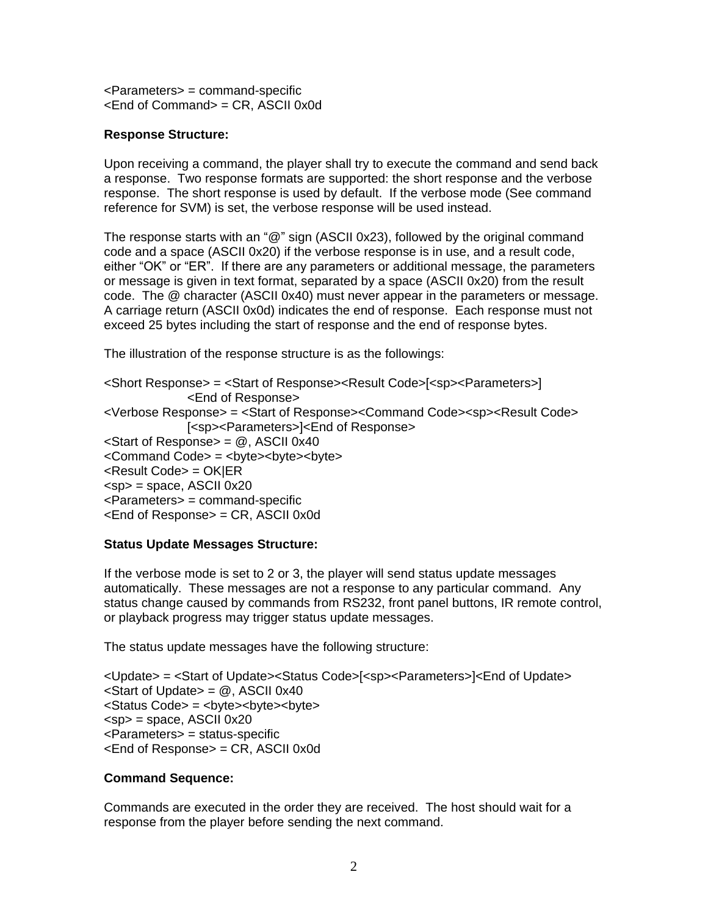<Parameters> = command-specific  $\epsilon$ End of Command $\epsilon$  = CR, ASCII 0x0d

#### **Response Structure:**

Upon receiving a command, the player shall try to execute the command and send back a response. Two response formats are supported: the short response and the verbose response. The short response is used by default. If the verbose mode (See command reference for SVM) is set, the verbose response will be used instead.

The response starts with an "@" sign (ASCII 0x23), followed by the original command code and a space (ASCII 0x20) if the verbose response is in use, and a result code, either "OK" or "ER". If there are any parameters or additional message, the parameters or message is given in text format, separated by a space (ASCII 0x20) from the result code. The @ character (ASCII 0x40) must never appear in the parameters or message. A carriage return (ASCII 0x0d) indicates the end of response. Each response must not exceed 25 bytes including the start of response and the end of response bytes.

The illustration of the response structure is as the followings:

<Short Response> = <Start of Response><Result Code>[<sp><Parameters>] <End of Response> <Verbose Response> = <Start of Response><Command Code><sp><Result Code> [<sp><Parameters>]<End of Response>  $\leq$ Start of Response $>$  =  $\omega$ , ASCII 0x40 <Command Code> = <br />byte><br />byte><br /><br /> <Result Code> = OK|ER  $<$ sp $>$  = space, ASCII 0x20 <Parameters> = command-specific <End of Response> = CR, ASCII 0x0d

#### **Status Update Messages Structure:**

If the verbose mode is set to 2 or 3, the player will send status update messages automatically. These messages are not a response to any particular command. Any status change caused by commands from RS232, front panel buttons, IR remote control, or playback progress may trigger status update messages.

The status update messages have the following structure:

<Update> = <Start of Update><Status Code>[<sp><Parameters>]<End of Update>  $\leq$ Start of Update $\geq$   $\cong$   $\otimes$ , ASCII 0x40 <Status Code> = <byte><byte><byte>  $<$ sp $>$  = space, ASCII 0x20 <Parameters> = status-specific <End of Response> = CR, ASCII 0x0d

#### **Command Sequence:**

Commands are executed in the order they are received. The host should wait for a response from the player before sending the next command.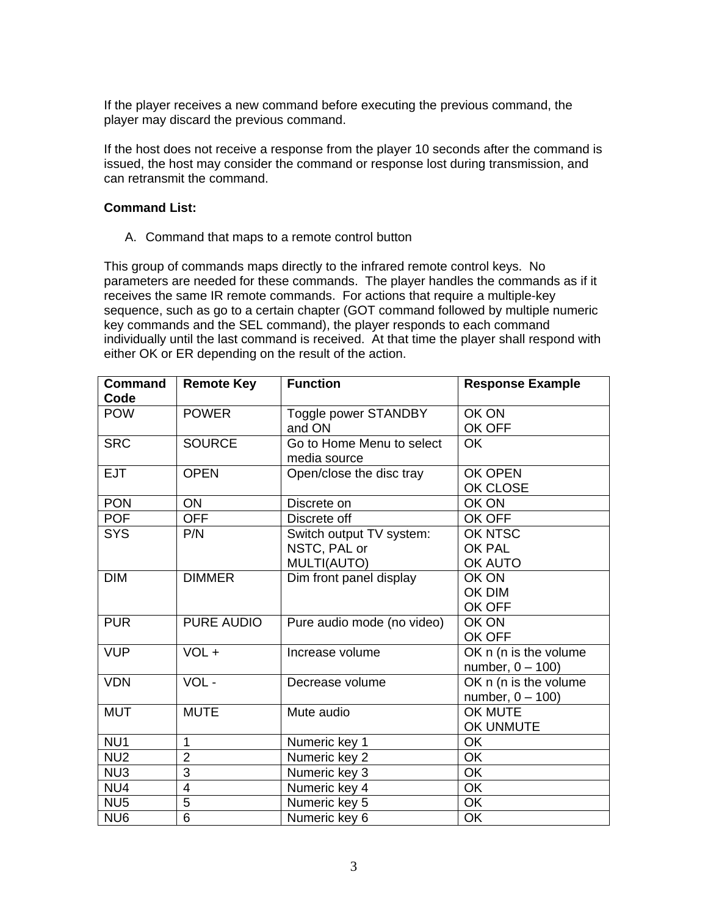If the player receives a new command before executing the previous command, the player may discard the previous command.

If the host does not receive a response from the player 10 seconds after the command is issued, the host may consider the command or response lost during transmission, and can retransmit the command.

#### **Command List:**

A. Command that maps to a remote control button

This group of commands maps directly to the infrared remote control keys. No parameters are needed for these commands. The player handles the commands as if it receives the same IR remote commands. For actions that require a multiple-key sequence, such as go to a certain chapter (GOT command followed by multiple numeric key commands and the SEL command), the player responds to each command individually until the last command is received. At that time the player shall respond with either OK or ER depending on the result of the action.

| <b>Command</b><br>Code | <b>Remote Key</b> | <b>Function</b>                                         | <b>Response Example</b>                       |
|------------------------|-------------------|---------------------------------------------------------|-----------------------------------------------|
| <b>POW</b>             | <b>POWER</b>      | Toggle power STANDBY<br>and ON                          | OK ON<br>OK OFF                               |
| <b>SRC</b>             | <b>SOURCE</b>     | Go to Home Menu to select<br>media source               | <b>OK</b>                                     |
| <b>EJT</b>             | <b>OPEN</b>       | Open/close the disc tray                                | OK OPEN<br>OK CLOSE                           |
| <b>PON</b>             | ON                | Discrete on                                             | OK ON                                         |
| <b>POF</b>             | <b>OFF</b>        | Discrete off                                            | OK OFF                                        |
| <b>SYS</b>             | P/N               | Switch output TV system:<br>NSTC, PAL or<br>MULTI(AUTO) | OK NTSC<br><b>OK PAL</b><br>OK AUTO           |
| <b>DIM</b>             | <b>DIMMER</b>     | Dim front panel display                                 | OK ON<br>OK DIM<br>OK OFF                     |
| <b>PUR</b>             | <b>PURE AUDIO</b> | Pure audio mode (no video)                              | OK ON<br>OK OFF                               |
| <b>VUP</b>             | VOL +             | Increase volume                                         | OK n (n is the volume)<br>number, $0 - 100$ ) |
| <b>VDN</b>             | VOL-              | Decrease volume                                         | OK n (n is the volume<br>number, $0 - 100$ )  |
| <b>MUT</b>             | <b>MUTE</b>       | Mute audio                                              | OK MUTE<br>OK UNMUTE                          |
| NU <sub>1</sub>        | $\mathbf{1}$      | Numeric key 1                                           | OK                                            |
| NU <sub>2</sub>        | $\overline{2}$    | Numeric key 2                                           | <b>OK</b>                                     |
| NU3                    | 3                 | Numeric key 3                                           | <b>OK</b>                                     |
| NU4                    | $\overline{4}$    | Numeric key 4                                           | OK                                            |
| NU <sub>5</sub>        | 5                 | Numeric key 5                                           | OK                                            |
| NU <sub>6</sub>        | $6\phantom{1}$    | Numeric key 6                                           | <b>OK</b>                                     |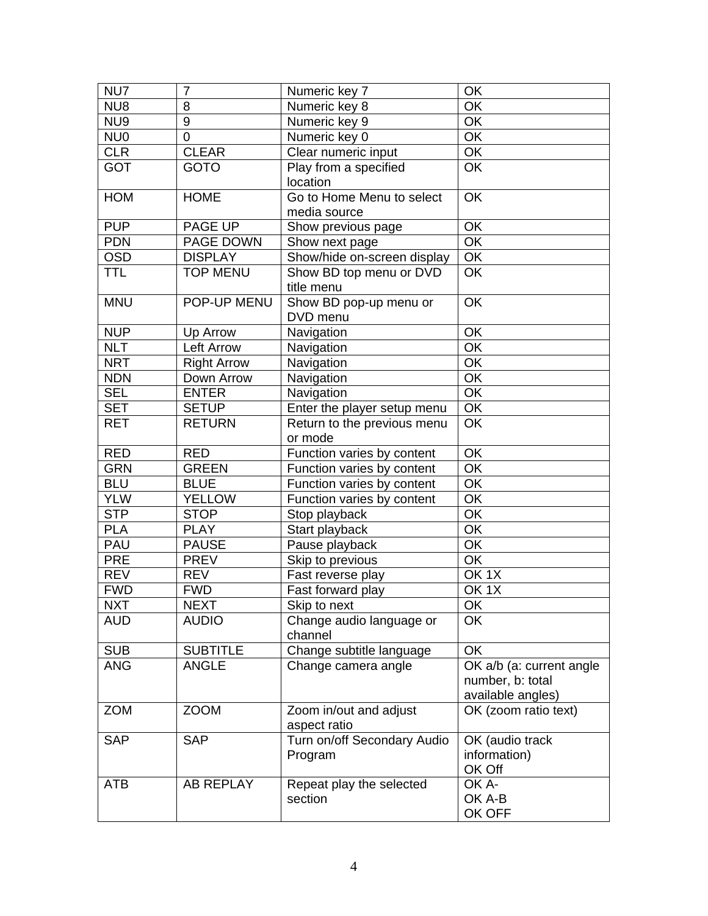| NU7             | $\overline{7}$     | Numeric key 7                          | OK                       |
|-----------------|--------------------|----------------------------------------|--------------------------|
| NU8             | 8                  | Numeric key 8                          | OK                       |
| NU9             | 9                  | Numeric key 9                          | $\overline{OK}$          |
| NU <sub>0</sub> | $\mathbf 0$        | Numeric key 0                          | OK                       |
| <b>CLR</b>      | <b>CLEAR</b>       | Clear numeric input                    | OK                       |
| <b>GOT</b>      | <b>GOTO</b>        | Play from a specified                  | OK                       |
|                 |                    | location                               |                          |
| <b>HOM</b>      | <b>HOME</b>        | Go to Home Menu to select              | OK                       |
|                 |                    | media source                           |                          |
| <b>PUP</b>      | PAGE UP            | Show previous page                     | OK                       |
| <b>PDN</b>      | PAGE DOWN          | Show next page                         | OK                       |
| <b>OSD</b>      | <b>DISPLAY</b>     | Show/hide on-screen display            | OK                       |
| <b>TTL</b>      | <b>TOP MENU</b>    | Show BD top menu or DVD<br>title menu  | OK                       |
| <b>MNU</b>      | POP-UP MENU        | Show BD pop-up menu or                 | OK                       |
|                 |                    | DVD menu                               |                          |
| <b>NUP</b>      | Up Arrow           | Navigation                             | OK                       |
| <b>NLT</b>      | <b>Left Arrow</b>  | Navigation                             | OK                       |
| <b>NRT</b>      | <b>Right Arrow</b> | Navigation                             | OK                       |
| <b>NDN</b>      | Down Arrow         | Navigation                             | $\overline{OK}$          |
| <b>SEL</b>      | <b>ENTER</b>       | Navigation                             | $\overline{OK}$          |
| <b>SET</b>      | <b>SETUP</b>       | Enter the player setup menu            | OK                       |
| <b>RET</b>      | <b>RETURN</b>      | Return to the previous menu            | OK                       |
|                 |                    | or mode                                |                          |
| <b>RED</b>      | <b>RED</b>         | Function varies by content             | OK                       |
| <b>GRN</b>      | <b>GREEN</b>       | Function varies by content             | OK                       |
| <b>BLU</b>      | <b>BLUE</b>        | Function varies by content             | OK                       |
| <b>YLW</b>      | <b>YELLOW</b>      | Function varies by content             | OK                       |
| <b>STP</b>      | <b>STOP</b>        | Stop playback                          | OK                       |
| <b>PLA</b>      | <b>PLAY</b>        | Start playback                         | OK                       |
| <b>PAU</b>      | <b>PAUSE</b>       | Pause playback                         | OK                       |
| <b>PRE</b>      | <b>PREV</b>        | Skip to previous                       | OK                       |
| <b>REV</b>      | <b>REV</b>         | Fast reverse play                      | OK <sub>1</sub> X        |
| <b>FWD</b>      | <b>FWD</b>         | Fast forward play                      | OK <sub>1</sub> X        |
| NXT             | NEXT               | Skip to next                           | ОK                       |
| <b>AUD</b>      | <b>AUDIO</b>       | Change audio language or<br>channel    | OK                       |
| <b>SUB</b>      | <b>SUBTITLE</b>    | Change subtitle language               | OK                       |
| <b>ANG</b>      | <b>ANGLE</b>       | Change camera angle                    | OK a/b (a: current angle |
|                 |                    |                                        | number, b: total         |
|                 |                    |                                        | available angles)        |
| <b>ZOM</b>      | <b>ZOOM</b>        | Zoom in/out and adjust<br>aspect ratio | OK (zoom ratio text)     |
| <b>SAP</b>      | <b>SAP</b>         | Turn on/off Secondary Audio            | OK (audio track          |
|                 |                    | Program                                | information)             |
|                 |                    |                                        | OK Off                   |
| <b>ATB</b>      | <b>AB REPLAY</b>   | Repeat play the selected               | OK A-                    |
|                 |                    | section                                | OK A-B                   |
|                 |                    |                                        | OK OFF                   |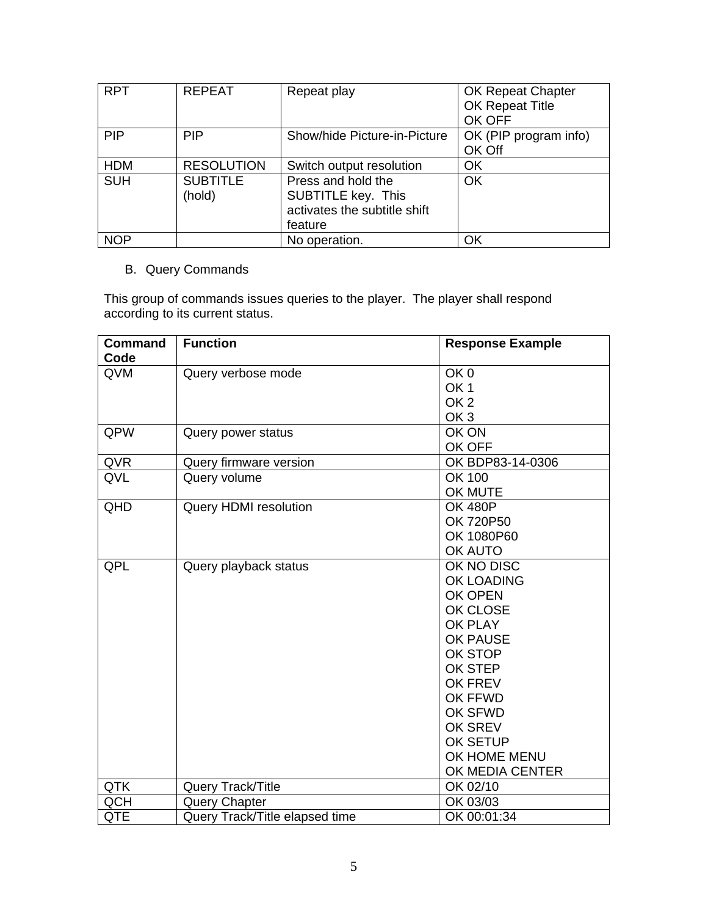| <b>RPT</b> | <b>REPEAT</b>     | Repeat play                  | <b>OK Repeat Chapter</b> |
|------------|-------------------|------------------------------|--------------------------|
|            |                   |                              | OK Repeat Title          |
|            |                   |                              | OK OFF                   |
| <b>PIP</b> | <b>PIP</b>        | Show/hide Picture-in-Picture | OK (PIP program info)    |
|            |                   |                              | OK Off                   |
| <b>HDM</b> | <b>RESOLUTION</b> | Switch output resolution     | ΟK                       |
| <b>SUH</b> | <b>SUBTITLE</b>   | Press and hold the           | OK                       |
|            | (hold)            | <b>SUBTITLE key. This</b>    |                          |
|            |                   | activates the subtitle shift |                          |
|            |                   | feature                      |                          |
| <b>NOP</b> |                   | No operation.                | ΟK                       |

## B. Query Commands

This group of commands issues queries to the player. The player shall respond according to its current status.

| <b>Command</b> | <b>Function</b>                | <b>Response Example</b> |
|----------------|--------------------------------|-------------------------|
| Code           |                                |                         |
| QVM            | Query verbose mode             | OK <sub>0</sub>         |
|                |                                | OK <sub>1</sub>         |
|                |                                | OK <sub>2</sub>         |
|                |                                | OK <sub>3</sub>         |
| QPW            | Query power status             | OK ON                   |
|                |                                | OK OFF                  |
| QVR            | Query firmware version         | OK BDP83-14-0306        |
| QVL            | Query volume                   | OK 100                  |
|                |                                | OK MUTE                 |
| QHD            | Query HDMI resolution          | <b>OK 480P</b>          |
|                |                                | OK 720P50               |
|                |                                | OK 1080P60              |
|                |                                | OK AUTO                 |
| QPL            | Query playback status          | OK NO DISC              |
|                |                                | OK LOADING              |
|                |                                | OK OPEN                 |
|                |                                | OK CLOSE                |
|                |                                | <b>OK PLAY</b>          |
|                |                                | OK PAUSE                |
|                |                                | OK STOP                 |
|                |                                | OK STEP                 |
|                |                                | <b>OK FREV</b>          |
|                |                                | <b>OK FFWD</b>          |
|                |                                | OK SFWD                 |
|                |                                | OK SREV                 |
|                |                                | OK SETUP                |
|                |                                | OK HOME MENU            |
|                |                                | OK MEDIA CENTER         |
| <b>QTK</b>     | Query Track/Title              | OK 02/10                |
| <b>QCH</b>     | <b>Query Chapter</b>           | OK 03/03                |
| <b>QTE</b>     | Query Track/Title elapsed time | OK 00:01:34             |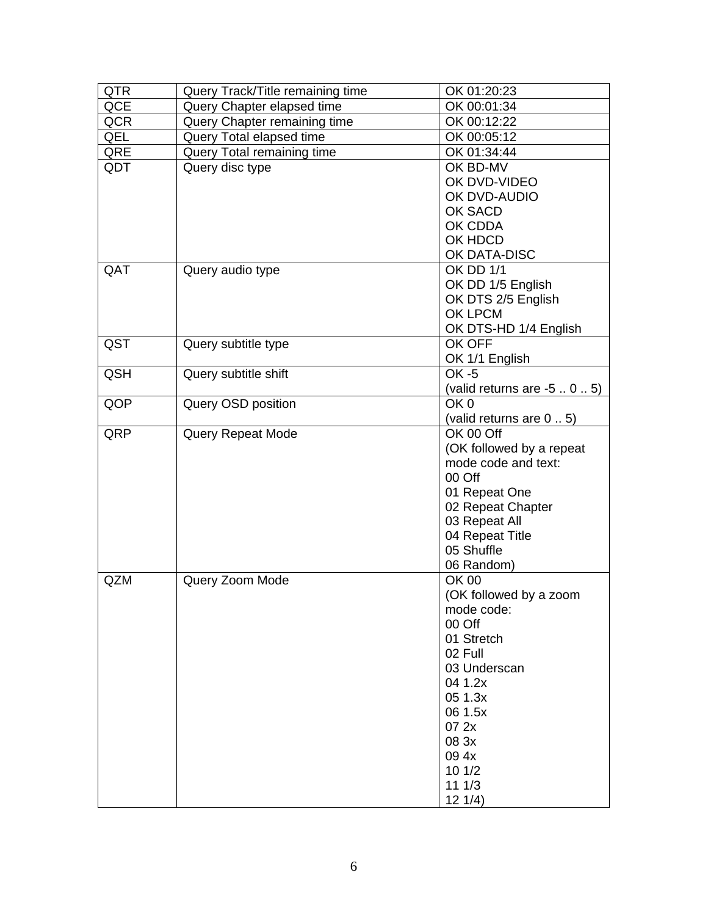| <b>QTR</b> | Query Track/Title remaining time | OK 01:20:23                 |
|------------|----------------------------------|-----------------------------|
| QCE        | Query Chapter elapsed time       | OK 00:01:34                 |
| <b>QCR</b> | Query Chapter remaining time     | OK 00:12:22                 |
| QEL        | Query Total elapsed time         | OK 00:05:12                 |
| QRE        | Query Total remaining time       | OK 01:34:44                 |
| QDT        | Query disc type                  | OK BD-MV                    |
|            |                                  | OK DVD-VIDEO                |
|            |                                  | OK DVD-AUDIO                |
|            |                                  | OK SACD                     |
|            |                                  | OK CDDA                     |
|            |                                  | OK HDCD                     |
|            |                                  | OK DATA-DISC                |
| QAT        | Query audio type                 | <b>OK DD 1/1</b>            |
|            |                                  | OK DD 1/5 English           |
|            |                                  | OK DTS 2/5 English          |
|            |                                  | OK LPCM                     |
|            |                                  | OK DTS-HD 1/4 English       |
| QST        | Query subtitle type              | OK OFF                      |
|            |                                  | OK 1/1 English              |
| <b>QSH</b> | Query subtitle shift             | <b>OK -5</b>                |
|            |                                  | (valid returns are $-505$ ) |
| QOP        | Query OSD position               | OK <sub>0</sub>             |
|            |                                  | (valid returns are 0.5)     |
| QRP        | <b>Query Repeat Mode</b>         | OK 00 Off                   |
|            |                                  | (OK followed by a repeat    |
|            |                                  | mode code and text:         |
|            |                                  | 00 Off                      |
|            |                                  | 01 Repeat One               |
|            |                                  | 02 Repeat Chapter           |
|            |                                  | 03 Repeat All               |
|            |                                  | 04 Repeat Title             |
|            |                                  | 05 Shuffle                  |
|            |                                  | 06 Random)                  |
| <b>QZM</b> | Query Zoom Mode                  | OK 00                       |
|            |                                  | (OK followed by a zoom      |
|            |                                  | mode code:                  |
|            |                                  | 00 Off                      |
|            |                                  | 01 Stretch                  |
|            |                                  | 02 Full                     |
|            |                                  | 03 Underscan                |
|            |                                  | 04 1.2x                     |
|            |                                  | 05 1.3x<br>06 1.5x          |
|            |                                  | 07 2x                       |
|            |                                  | 08 3x                       |
|            |                                  | 09 4x                       |
|            |                                  | 10 1/2                      |
|            |                                  | 111/3                       |
|            |                                  | 121/4)                      |
|            |                                  |                             |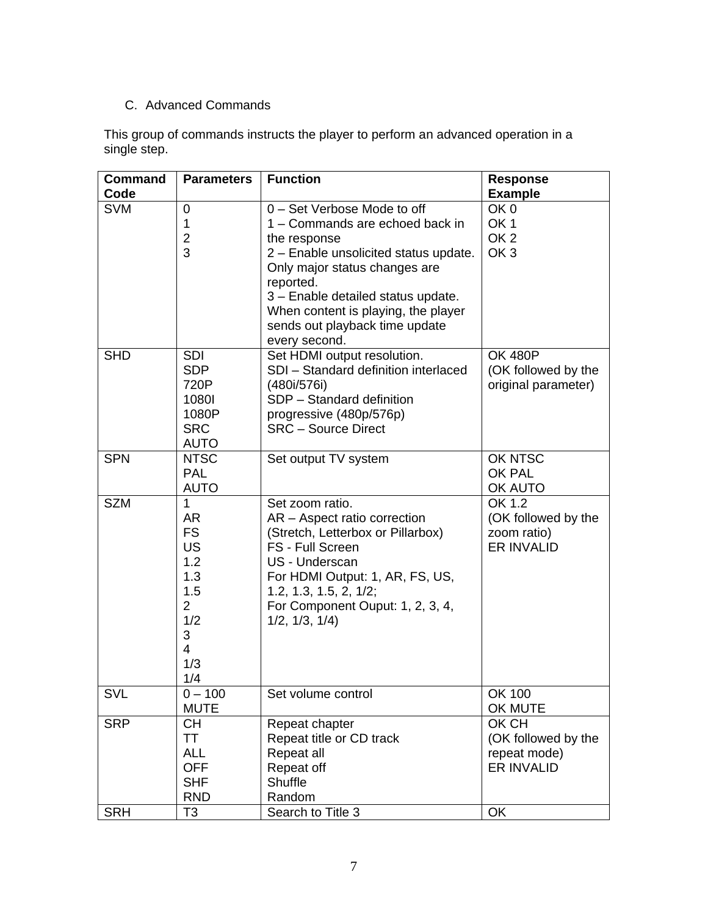### C. Advanced Commands

This group of commands instructs the player to perform an advanced operation in a single step.

| <b>Command</b><br>Code | <b>Parameters</b>     | <b>Function</b>                                       | <b>Response</b><br><b>Example</b> |
|------------------------|-----------------------|-------------------------------------------------------|-----------------------------------|
|                        |                       | 0 - Set Verbose Mode to off                           | OK <sub>0</sub>                   |
| <b>SVM</b>             | 0<br>$\mathbf 1$      | 1 - Commands are echoed back in                       | OK <sub>1</sub>                   |
|                        | $\overline{2}$        |                                                       | OK <sub>2</sub>                   |
|                        | 3                     | the response<br>2 - Enable unsolicited status update. | OK <sub>3</sub>                   |
|                        |                       | Only major status changes are                         |                                   |
|                        |                       | reported.                                             |                                   |
|                        |                       | 3 - Enable detailed status update.                    |                                   |
|                        |                       | When content is playing, the player                   |                                   |
|                        |                       | sends out playback time update                        |                                   |
|                        |                       | every second.                                         |                                   |
| <b>SHD</b>             | <b>SDI</b>            | Set HDMI output resolution.                           | <b>OK 480P</b>                    |
|                        | <b>SDP</b>            | SDI - Standard definition interlaced                  | (OK followed by the               |
|                        | 720P                  | (480i/576i)                                           | original parameter)               |
|                        | 10801                 | SDP - Standard definition                             |                                   |
|                        | 1080P                 | progressive (480p/576p)                               |                                   |
|                        | <b>SRC</b>            | <b>SRC - Source Direct</b>                            |                                   |
|                        | <b>AUTO</b>           |                                                       |                                   |
| <b>SPN</b>             | <b>NTSC</b>           | Set output TV system                                  | OK NTSC                           |
|                        | <b>PAL</b>            |                                                       | OK PAL                            |
|                        | <b>AUTO</b>           |                                                       | OK AUTO                           |
| <b>SZM</b>             | $\mathbf{1}$          | Set zoom ratio.                                       | OK 1.2                            |
|                        | <b>AR</b>             | AR - Aspect ratio correction                          | (OK followed by the               |
|                        | <b>FS</b>             | (Stretch, Letterbox or Pillarbox)                     | zoom ratio)                       |
|                        | <b>US</b>             | FS - Full Screen                                      | <b>ER INVALID</b>                 |
|                        | 1.2                   | US - Underscan                                        |                                   |
|                        | 1.3                   | For HDMI Output: 1, AR, FS, US,                       |                                   |
|                        | 1.5                   | 1.2, 1.3, 1.5, 2, 1/2;                                |                                   |
|                        | $\overline{2}$<br>1/2 | For Component Ouput: 1, 2, 3, 4,                      |                                   |
|                        | 3                     | 1/2, 1/3, 1/4)                                        |                                   |
|                        | 4                     |                                                       |                                   |
|                        | 1/3                   |                                                       |                                   |
|                        | 1/4                   |                                                       |                                   |
| SVL                    | $0 - 100$             | Set volume control                                    | OK 100                            |
|                        | <b>MUTE</b>           |                                                       | OK MUTE                           |
| <b>SRP</b>             | <b>CH</b>             | Repeat chapter                                        | OK CH                             |
|                        | TT                    | Repeat title or CD track                              | (OK followed by the               |
|                        | <b>ALL</b>            | Repeat all                                            | repeat mode)                      |
|                        | <b>OFF</b>            | Repeat off                                            | ER INVALID                        |
|                        | <b>SHF</b>            | Shuffle                                               |                                   |
|                        | <b>RND</b>            | Random                                                |                                   |
| <b>SRH</b>             | T <sub>3</sub>        | Search to Title 3                                     | OK                                |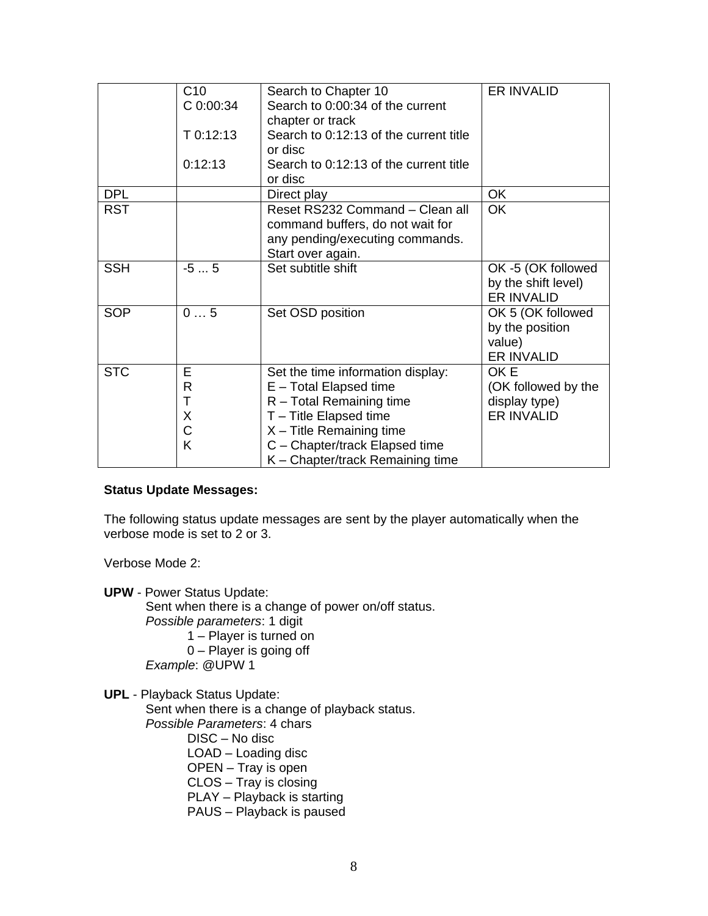|            | C10       | Search to Chapter 10                   | <b>ER INVALID</b>   |
|------------|-----------|----------------------------------------|---------------------|
|            | C 0:00:34 | Search to 0:00:34 of the current       |                     |
|            |           | chapter or track                       |                     |
|            | T 0:12:13 | Search to 0:12:13 of the current title |                     |
|            |           | or disc                                |                     |
|            | 0:12:13   | Search to 0:12:13 of the current title |                     |
|            |           | or disc                                |                     |
| <b>DPL</b> |           | Direct play                            | <b>OK</b>           |
| <b>RST</b> |           | Reset RS232 Command - Clean all        | <b>OK</b>           |
|            |           | command buffers, do not wait for       |                     |
|            |           | any pending/executing commands.        |                     |
|            |           | Start over again.                      |                     |
| <b>SSH</b> | $-55$     | Set subtitle shift                     | OK -5 (OK followed  |
|            |           |                                        | by the shift level) |
|            |           |                                        | ER INVALID          |
| <b>SOP</b> | 05        | Set OSD position                       | OK 5 (OK followed   |
|            |           |                                        | by the position     |
|            |           |                                        | value)              |
|            |           |                                        | ER INVALID          |
| <b>STC</b> | E         | Set the time information display:      | OK E                |
|            | R         | E - Total Elapsed time                 | (OK followed by the |
|            | т         | $R$ – Total Remaining time             | display type)       |
|            | X         | T - Title Elapsed time                 | ER INVALID          |
|            | C         | $X -$ Title Remaining time             |                     |
|            | K         | C - Chapter/track Elapsed time         |                     |
|            |           | K - Chapter/track Remaining time       |                     |

#### **Status Update Messages:**

The following status update messages are sent by the player automatically when the verbose mode is set to 2 or 3.

Verbose Mode 2:

**UPW** - Power Status Update:

Sent when there is a change of power on/off status. *Possible parameters*: 1 digit 1 – Player is turned on 0 – Player is going off *Example*: @UPW 1

**UPL** - Playback Status Update: Sent when there is a change of playback status. *Possible Parameters*: 4 chars DISC – No disc LOAD – Loading disc OPEN – Tray is open CLOS – Tray is closing PLAY – Playback is starting

PAUS – Playback is paused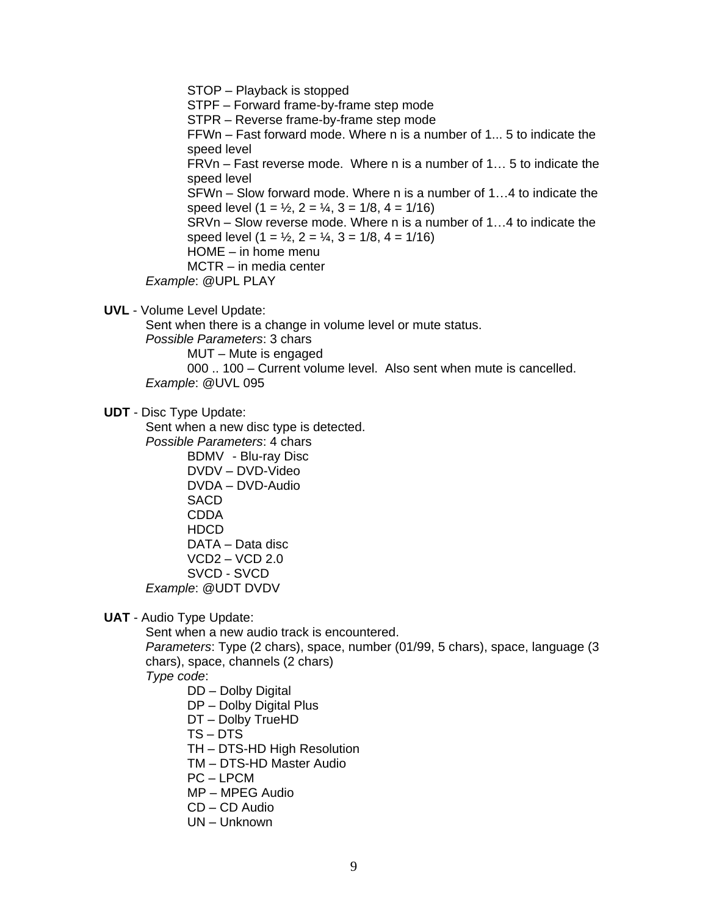STOP – Playback is stopped STPF – Forward frame-by-frame step mode STPR – Reverse frame-by-frame step mode FFWn – Fast forward mode. Where n is a number of 1... 5 to indicate the speed level FRVn – Fast reverse mode. Where n is a number of 1… 5 to indicate the speed level SFWn – Slow forward mode. Where n is a number of 1…4 to indicate the speed level  $(1 = \frac{1}{2}, 2 = \frac{1}{4}, 3 = \frac{1}{8}, 4 = \frac{1}{16})$ SRVn – Slow reverse mode. Where n is a number of 1…4 to indicate the speed level  $(1 = \frac{1}{2}, 2 = \frac{1}{4}, 3 = \frac{1}{8}, 4 = \frac{1}{16})$ HOME – in home menu MCTR – in media center *Example*: @UPL PLAY

**UVL** - Volume Level Update:

Sent when there is a change in volume level or mute status.

*Possible Parameters*: 3 chars

MUT – Mute is engaged

000 .. 100 – Current volume level. Also sent when mute is cancelled. *Example*: @UVL 095

**UDT** - Disc Type Update:

Sent when a new disc type is detected.

*Possible Parameters*: 4 chars

BDMV - Blu-ray Disc DVDV – DVD-Video DVDA – DVD-Audio **SACD** CDDA HDCD DATA – Data disc VCD2 – VCD 2.0 SVCD - SVCD *Example*: @UDT DVDV

**UAT** - Audio Type Update:

Sent when a new audio track is encountered.

*Parameters*: Type (2 chars), space, number (01/99, 5 chars), space, language (3 chars), space, channels (2 chars)

*Type code*:

- DD Dolby Digital
- DP Dolby Digital Plus
- DT Dolby TrueHD
- TS DTS
- TH DTS-HD High Resolution
- TM DTS-HD Master Audio
- PC LPCM
- MP MPEG Audio
- CD CD Audio
- UN Unknown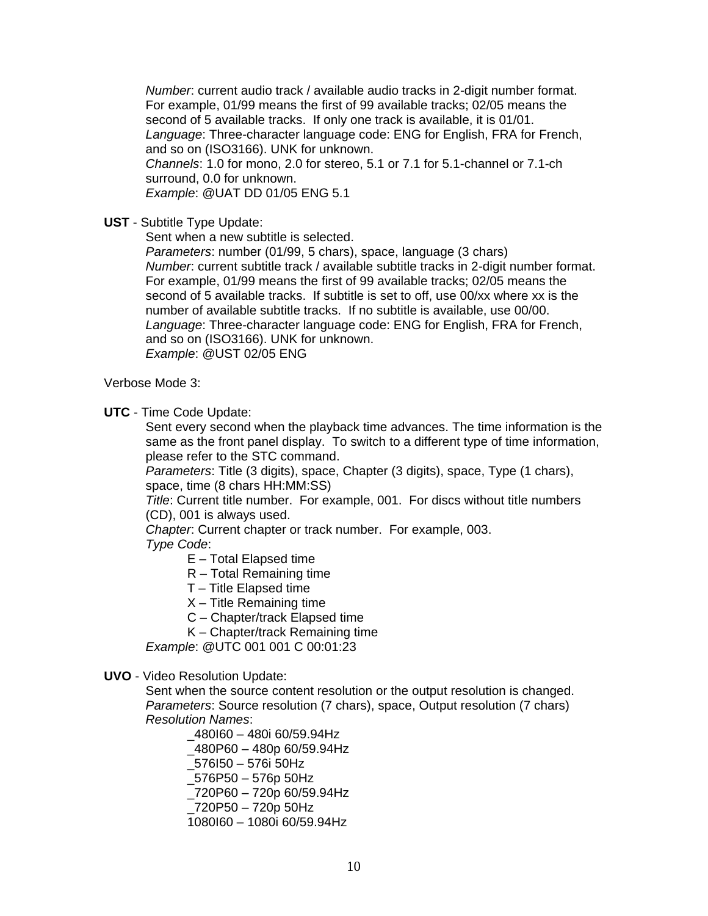*Number*: current audio track / available audio tracks in 2-digit number format. For example, 01/99 means the first of 99 available tracks; 02/05 means the second of 5 available tracks. If only one track is available, it is 01/01. *Language*: Three-character language code: ENG for English, FRA for French, and so on (ISO3166). UNK for unknown. *Channels*: 1.0 for mono, 2.0 for stereo, 5.1 or 7.1 for 5.1-channel or 7.1-ch surround, 0.0 for unknown. *Example*: @UAT DD 01/05 ENG 5.1

**UST** - Subtitle Type Update:

Sent when a new subtitle is selected.

*Parameters*: number (01/99, 5 chars), space, language (3 chars) *Number*: current subtitle track / available subtitle tracks in 2-digit number format. For example, 01/99 means the first of 99 available tracks; 02/05 means the second of 5 available tracks. If subtitle is set to off, use 00/xx where xx is the number of available subtitle tracks. If no subtitle is available, use 00/00. *Language*: Three-character language code: ENG for English, FRA for French, and so on (ISO3166). UNK for unknown. *Example*: @UST 02/05 ENG

Verbose Mode 3:

**UTC** - Time Code Update:

Sent every second when the playback time advances. The time information is the same as the front panel display. To switch to a different type of time information, please refer to the STC command.

*Parameters*: Title (3 digits), space, Chapter (3 digits), space, Type (1 chars), space, time (8 chars HH:MM:SS)

*Title*: Current title number. For example, 001. For discs without title numbers (CD), 001 is always used.

*Chapter*: Current chapter or track number. For example, 003.

*Type Code*:

E – Total Elapsed time

- R Total Remaining time
- T Title Elapsed time
- $X$  Title Remaining time
- C Chapter/track Elapsed time

K – Chapter/track Remaining time

*Example*: @UTC 001 001 C 00:01:23

#### **UVO** - Video Resolution Update:

Sent when the source content resolution or the output resolution is changed. *Parameters*: Source resolution (7 chars), space, Output resolution (7 chars) *Resolution Names*:

\_480I60 – 480i 60/59.94Hz \_480P60 – 480p 60/59.94Hz \_576I50 – 576i 50Hz \_576P50 – 576p 50Hz \_720P60 – 720p 60/59.94Hz \_720P50 – 720p 50Hz 1080I60 – 1080i 60/59.94Hz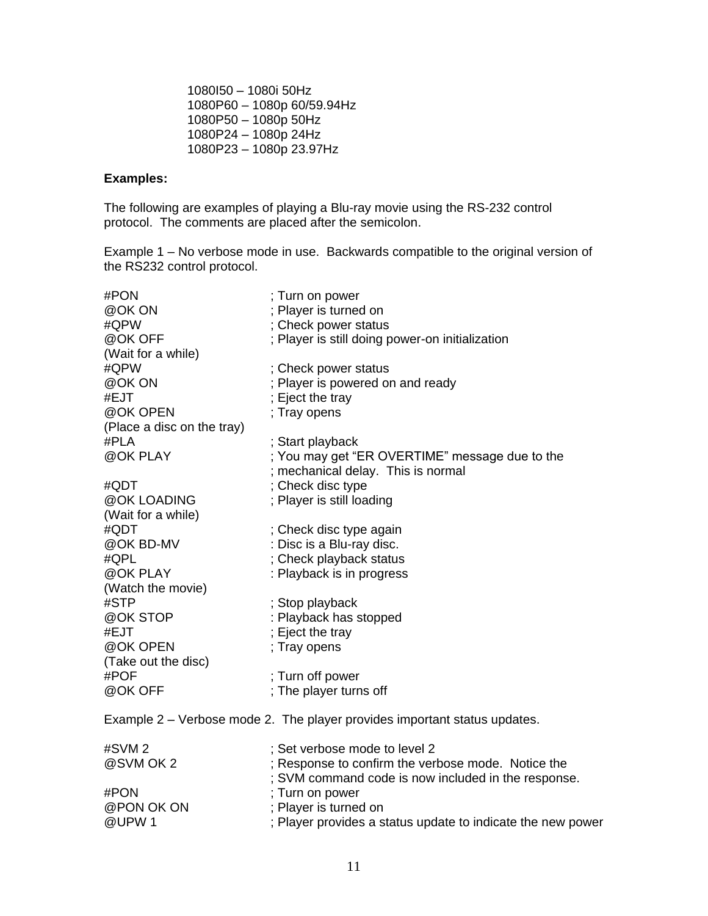1080I50 – 1080i 50Hz 1080P60 – 1080p 60/59.94Hz 1080P50 – 1080p 50Hz 1080P24 – 1080p 24Hz 1080P23 – 1080p 23.97Hz

#### **Examples:**

The following are examples of playing a Blu-ray movie using the RS-232 control protocol. The comments are placed after the semicolon.

Example 1 – No verbose mode in use. Backwards compatible to the original version of the RS232 control protocol.

| #PON                       | ; Turn on power                                                                                           |
|----------------------------|-----------------------------------------------------------------------------------------------------------|
| @OK ON                     | ; Player is turned on                                                                                     |
| #QPW                       | ; Check power status                                                                                      |
| @OK OFF                    | ; Player is still doing power-on initialization                                                           |
| (Wait for a while)         |                                                                                                           |
| #QPW                       | ; Check power status                                                                                      |
| @OK ON                     | ; Player is powered on and ready                                                                          |
| #EJT                       | ; Eject the tray                                                                                          |
| @OK OPEN                   | ; Tray opens                                                                                              |
| (Place a disc on the tray) |                                                                                                           |
| #PLA                       | ; Start playback                                                                                          |
| @OK PLAY                   | ; You may get "ER OVERTIME" message due to the                                                            |
|                            | ; mechanical delay. This is normal                                                                        |
| #QDT                       | ; Check disc type                                                                                         |
| @OK LOADING                | ; Player is still loading                                                                                 |
| (Wait for a while)         |                                                                                                           |
| #QDT                       | ; Check disc type again                                                                                   |
| @OK BD-MV                  | : Disc is a Blu-ray disc.                                                                                 |
| #QPL                       | ; Check playback status                                                                                   |
| @OK PLAY                   | : Playback is in progress                                                                                 |
| (Watch the movie)          |                                                                                                           |
| #STP                       | ; Stop playback                                                                                           |
| @OK STOP                   | : Playback has stopped                                                                                    |
| #EJT                       | ; Eject the tray                                                                                          |
| @OK OPEN                   | ; Tray opens                                                                                              |
| (Take out the disc)        |                                                                                                           |
| #POF                       | ; Turn off power                                                                                          |
| @OK OFF                    | ; The player turns off                                                                                    |
|                            | Example 2 – Verbose mode 2. The player provides important status updates.                                 |
| #SVM 2                     | ; Set verbose mode to level 2                                                                             |
| @SVM OK 2                  |                                                                                                           |
|                            | ; Response to confirm the verbose mode. Notice the<br>; SVM command code is now included in the response. |
| #PON                       | ; Turn on power                                                                                           |
| @PON OK ON                 | Player is turned on                                                                                       |
| @UPW1                      | Player provides a status update to indicate the new power                                                 |
|                            |                                                                                                           |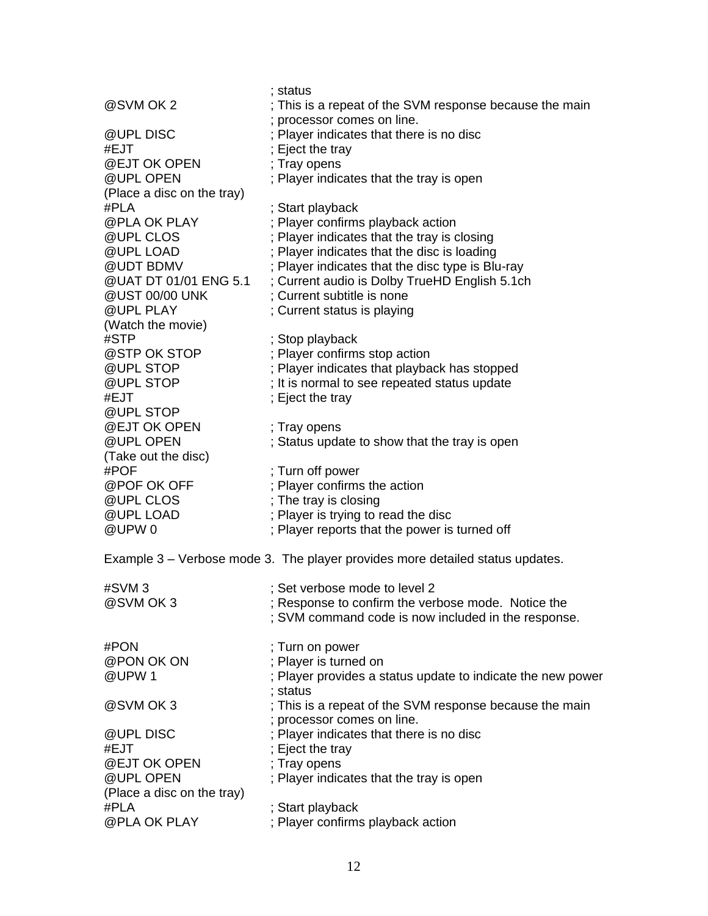|                            | ; status                                                                              |
|----------------------------|---------------------------------------------------------------------------------------|
| @SVM OK 2                  | ; This is a repeat of the SVM response because the main<br>; processor comes on line. |
| @UPL DISC                  | ; Player indicates that there is no disc                                              |
| #EJT                       | ; Eject the tray                                                                      |
| @EJT OK OPEN               | ; Tray opens                                                                          |
| @UPL OPEN                  |                                                                                       |
|                            | ; Player indicates that the tray is open                                              |
| (Place a disc on the tray) |                                                                                       |
| #PLA                       | ; Start playback                                                                      |
| @PLA OK PLAY               | ; Player confirms playback action                                                     |
| @UPL CLOS                  | ; Player indicates that the tray is closing                                           |
| @UPL LOAD                  | ; Player indicates that the disc is loading                                           |
| @UDT BDMV                  | ; Player indicates that the disc type is Blu-ray                                      |
| @UAT DT 01/01 ENG 5.1      | ; Current audio is Dolby TrueHD English 5.1ch                                         |
| @UST 00/00 UNK             | ; Current subtitle is none                                                            |
| @UPL PLAY                  | ; Current status is playing                                                           |
| (Watch the movie)          |                                                                                       |
| #STP                       | ; Stop playback                                                                       |
| @STP OK STOP               | ; Player confirms stop action                                                         |
| @UPL STOP                  | ; Player indicates that playback has stopped                                          |
| @UPL STOP                  | ; It is normal to see repeated status update                                          |
| #EJT                       | ; Eject the tray                                                                      |
| @UPL STOP                  |                                                                                       |
| @EJT OK OPEN               | ; Tray opens                                                                          |
| @UPL OPEN                  | ; Status update to show that the tray is open                                         |
| (Take out the disc)        |                                                                                       |
| #POF                       | ; Turn off power                                                                      |
| @POF OK OFF                | ; Player confirms the action                                                          |
| @UPL CLOS                  | ; The tray is closing                                                                 |
| @UPL LOAD                  | ; Player is trying to read the disc                                                   |
| @UPW0                      | ; Player reports that the power is turned off                                         |
|                            |                                                                                       |
|                            | Example 3 – Verbose mode 3. The player provides more detailed status updates.         |
| #SVM 3                     | ; Set verbose mode to level 2                                                         |
| @SVM OK 3                  | ; Response to confirm the verbose mode. Notice the                                    |
|                            | ; SVM command code is now included in the response.                                   |
|                            |                                                                                       |
| #PON                       | ; Turn on power                                                                       |
| @PON OK ON                 | ; Player is turned on                                                                 |
| @UPW1                      | ; Player provides a status update to indicate the new power                           |
|                            | ; status                                                                              |
| @SVM OK 3                  | ; This is a repeat of the SVM response because the main                               |
|                            |                                                                                       |
|                            | ; processor comes on line.                                                            |
| @UPL DISC                  | ; Player indicates that there is no disc                                              |
| #EJT                       | ; Eject the tray                                                                      |
| @EJT OK OPEN               | ; Tray opens                                                                          |
| @UPL OPEN                  | ; Player indicates that the tray is open                                              |
| (Place a disc on the tray) |                                                                                       |
| #PLA                       | ; Start playback                                                                      |
| @PLA OK PLAY               | ; Player confirms playback action                                                     |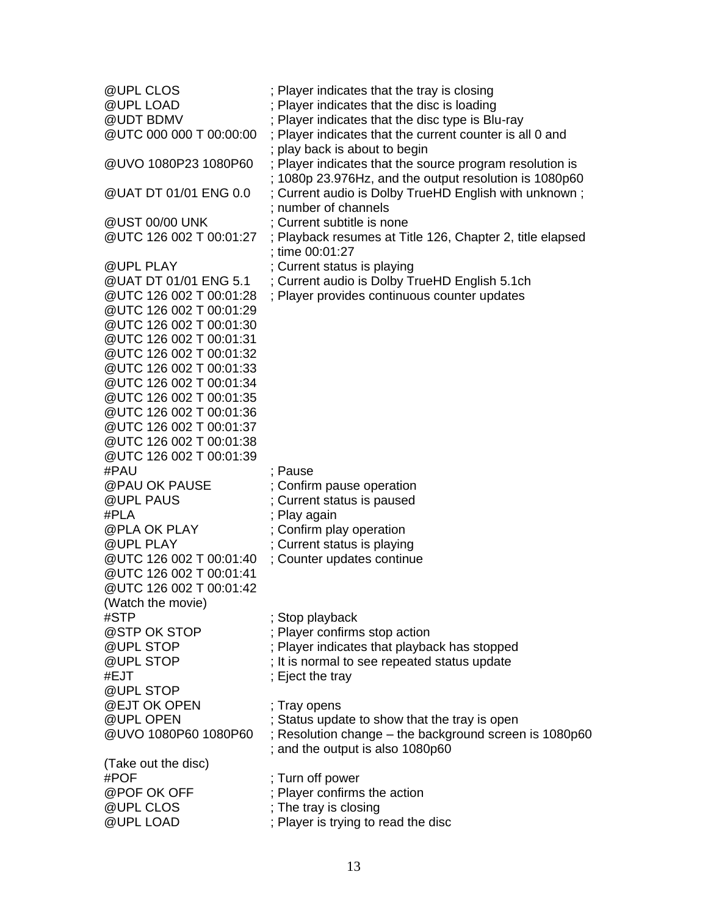| @UPL CLOS<br>@UPL LOAD<br>@UDT BDMV<br>@UTC 000 000 T 00:00:00 | ; Player indicates that the tray is closing<br>; Player indicates that the disc is loading<br>Player indicates that the disc type is Blu-ray<br>; Player indicates that the current counter is all 0 and |
|----------------------------------------------------------------|----------------------------------------------------------------------------------------------------------------------------------------------------------------------------------------------------------|
| @UVO 1080P23 1080P60                                           | ; play back is about to begin<br>; Player indicates that the source program resolution is                                                                                                                |
| @UAT DT 01/01 ENG 0.0                                          | ; 1080p 23.976Hz, and the output resolution is 1080p60<br>; Current audio is Dolby TrueHD English with unknown;<br>; number of channels                                                                  |
| @UST 00/00 UNK                                                 | ; Current subtitle is none                                                                                                                                                                               |
| @UTC 126 002 T 00:01:27                                        | ; Playback resumes at Title 126, Chapter 2, title elapsed<br>; time 00:01:27                                                                                                                             |
| @UPL PLAY                                                      | ; Current status is playing                                                                                                                                                                              |
| @UAT DT 01/01 ENG 5.1                                          | ; Current audio is Dolby TrueHD English 5.1ch                                                                                                                                                            |
| @UTC 126 002 T 00:01:28                                        | ; Player provides continuous counter updates                                                                                                                                                             |
| @UTC 126 002 T 00:01:29                                        |                                                                                                                                                                                                          |
| @UTC 126 002 T 00:01:30<br>@UTC 126 002 T 00:01:31             |                                                                                                                                                                                                          |
| @UTC 126 002 T 00:01:32                                        |                                                                                                                                                                                                          |
| @UTC 126 002 T 00:01:33                                        |                                                                                                                                                                                                          |
| @UTC 126 002 T 00:01:34                                        |                                                                                                                                                                                                          |
| @UTC 126 002 T 00:01:35                                        |                                                                                                                                                                                                          |
| @UTC 126 002 T 00:01:36                                        |                                                                                                                                                                                                          |
| @UTC 126 002 T 00:01:37                                        |                                                                                                                                                                                                          |
| @UTC 126 002 T 00:01:38                                        |                                                                                                                                                                                                          |
| @UTC 126 002 T 00:01:39<br>#PAU                                | ; Pause                                                                                                                                                                                                  |
| @PAU OK PAUSE                                                  | ; Confirm pause operation                                                                                                                                                                                |
| @UPL PAUS                                                      | ; Current status is paused                                                                                                                                                                               |
| #PLA                                                           | ; Play again                                                                                                                                                                                             |
| @PLA OK PLAY                                                   | ; Confirm play operation                                                                                                                                                                                 |
| @UPL PLAY                                                      | ; Current status is playing                                                                                                                                                                              |
| @UTC 126 002 T 00:01:40                                        | ; Counter updates continue                                                                                                                                                                               |
| @UTC 126 002 T 00:01:41                                        |                                                                                                                                                                                                          |
| @UTC 126 002 T 00:01:42                                        |                                                                                                                                                                                                          |
| (Watch the movie)<br>#STP                                      | ; Stop playback                                                                                                                                                                                          |
| @STP OK STOP                                                   | ; Player confirms stop action                                                                                                                                                                            |
| @UPL STOP                                                      | ; Player indicates that playback has stopped                                                                                                                                                             |
| @UPL STOP                                                      | ; It is normal to see repeated status update                                                                                                                                                             |
| #EJT                                                           | ; Eject the tray                                                                                                                                                                                         |
| @UPL STOP                                                      |                                                                                                                                                                                                          |
| @EJT OK OPEN                                                   | ; Tray opens                                                                                                                                                                                             |
| @UPL OPEN<br>@UVO 1080P60 1080P60                              | ; Status update to show that the tray is open                                                                                                                                                            |
|                                                                | ; Resolution change - the background screen is 1080p60<br>; and the output is also 1080p60                                                                                                               |
| (Take out the disc)                                            |                                                                                                                                                                                                          |
| #POF                                                           | ; Turn off power                                                                                                                                                                                         |
| @POF OK OFF                                                    | Player confirms the action                                                                                                                                                                               |
| @UPL CLOS                                                      | ; The tray is closing                                                                                                                                                                                    |
| @UPL LOAD                                                      | ; Player is trying to read the disc                                                                                                                                                                      |